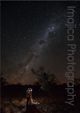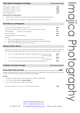| Tailor Made Photography Packages |  |  |  |
|----------------------------------|--|--|--|
|----------------------------------|--|--|--|

Photography coverage – 4 hours **\$1800** Photography coverage – 7 hours **\$2500** Photography coverage – 10 hours **\$3250** Extra coverage per hour **\$285**

#### **Included with all coverage options:**

- Image collection gallery of high resolution files for sharing, download & unlimited reprinting.
- Image collection also downloadable in web size resolution for social media, email, etc.

## **Personalise your photography**

|                                                                                   | Full set of black & white images (for print & web) | \$250 |
|-----------------------------------------------------------------------------------|----------------------------------------------------|-------|
| Travel out of metro area (Per hour of travel - one way to first point of contact) |                                                    |       |
| 2 <sup>nd</sup> Photographer                                                      | (per hour, 4 hour minimum)                         | \$125 |
| 8x6 inch mini album                                                               |                                                    | \$350 |
|                                                                                   | Pre wedding portrait session starting from         | \$650 |

Includes:

- One hour of photography at a location of your choice (Perth metro).
- High resolution digital files (150+) delivered via online gallery for unlimited reprinting.
- One 16 x11 inch fine art matted print of your choice.

### **Designer Feature Albums**

Choose from our range of fully customised matted style albums, flush mount style albums printed on traditional silver-halide photographic paper stock or a more contemporary matte fine art paper with seamless spreads.

| 14 x 11 Fine Art album, 30 pages (15 spreads), genuine leather or woven linen cover.<br>14 x 10 extra pages | \$2350<br>\$75 |
|-------------------------------------------------------------------------------------------------------------|----------------|
| 14 x 11 Lustre Art album, 30 pages (15 spreads), genuine leather cover.                                     | \$1850         |
| 14 x 11 extra pages                                                                                         | \$50           |
| 11 x 8 Lustre Art parent album, 30 pages (15 spreads), genuine leather cover.                               | \$900          |

## **Complete Coverage Packages All Prices include 10% GST**

#### **All Day Feature Album Package** *\$***6500**

Includes coverage of Bride's and Groom's preparation, ceremony, congratulations & group shots afterwards, location shoot/s and 3 hours of reception (minimum 10 hours total coverage).

#### **Includes:**

- All regular coverage option inclusions plus full copy of black & white images.
- 14 x 10 Fine Art feature album (**Includes 40 sides**).
- Two 11x8 inch parent album copies for Mum & Dad.

Swap Fine Art album out for the 14 x 11 Lustre Art album, 40 pages **-5650** 

www.imajicaphotography.com

Perth - Available Australia wide

M: 0402 211 314 E: info@imajicaphotography.com Skype: aburns\_imajica

**All Prices include 10% GST**